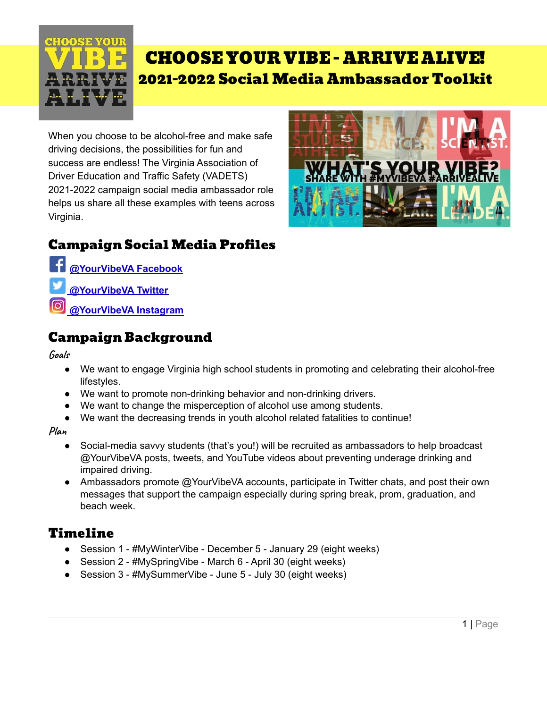

# CHOOSE YOUR VIBE - ARRIVE ALIVE! 2021-2022 Social Media Ambassador Toolkit

When you choose to be alcohol-free and make safe driving decisions, the possibilities for fun and success are endless! The Virginia Association of Driver Education and Traffic Safety (VADETS) 2021-2022 campaign social media ambassador role helps us share all these examples with teens across Virginia.



## Campaign Social Media Profiles

**[@YourVibeVA](http://facebook.com/yourvibeva) Facebook**

- **[@YourVibeVA](https://twitter.com/YourVibeVA) Twitter**
- **[@YourVibeVA](https://www.instagram.com/yourvibeva/) Instagram**

### Campaign Background

**Goals**

- We want to engage Virginia high school students in promoting and celebrating their alcohol-free lifestyles.
- We want to promote non-drinking behavior and non-drinking drivers.
- We want to change the misperception of alcohol use among students.
- We want the decreasing trends in youth alcohol related fatalities to continue!

**Plan**

- Social-media savvy students (that's you!) will be recruited as ambassadors to help broadcast @YourVibeVA posts, tweets, and YouTube videos about preventing underage drinking and impaired driving.
- Ambassadors promote @YourVibeVA accounts, participate in Twitter chats, and post their own messages that support the campaign especially during spring break, prom, graduation, and beach week.

## Timeline

- Session 1 #MyWinterVibe December 5 January 29 (eight weeks)
- Session 2 #MySpringVibe March 6 April 30 (eight weeks)
- Session 3 #MySummerVibe June 5 July 30 (eight weeks)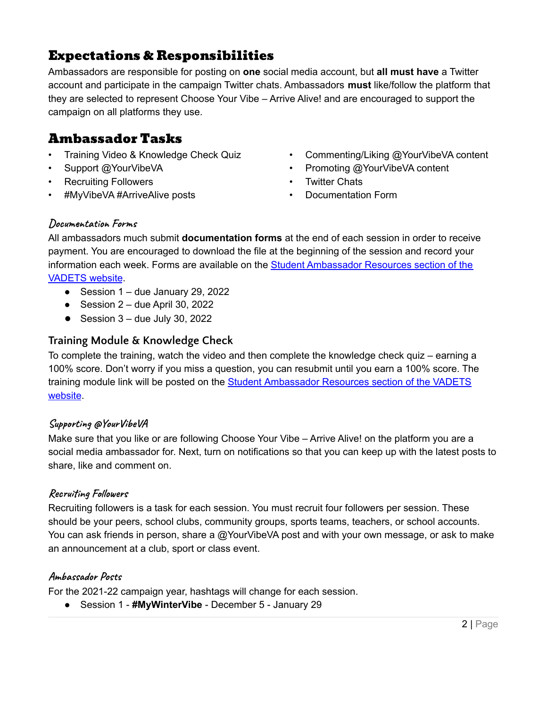## Expectations & Responsibilities

Ambassadors are responsible for posting on **one** social media account, but **all must have** a Twitter account and participate in the campaign Twitter chats. Ambassadors **must** like/follow the platform that they are selected to represent Choose Your Vibe – Arrive Alive! and are encouraged to support the campaign on all platforms they use.

### Ambassador Tasks

- Training Video & Knowledge Check Quiz
- Support @YourVibeVA
- Recruiting Followers
- #MyVibeVA #ArriveAlive posts
- Commenting/Liking @YourVibeVA content
- Promoting @YourVibeVA content
- **Twitter Chats**
- Documentation Form

#### **Documentation Forms**

All ambassadors much submit **documentation forms** at the end of each session in order to receive payment. You are encouraged to download the file at the beginning of the session and record your information each week. Forms are available on the **Student [Ambassador](https://vadets.wildapricot.org/Choose-Your-Vibe-Arrive-Alive!-Student-Resources/) Resources section of the** [VADETS](https://vadets.wildapricot.org/Choose-Your-Vibe-Arrive-Alive!-Student-Resources/) website.

- Session  $1 -$  due January 29, 2022
- $\bullet$  Session 2 due April 30, 2022
- **●** Session 3 due July 30, 2022

### **Training Module & Knowledge Check**

To complete the training, watch the video and then complete the knowledge check quiz – earning a 100% score. Don't worry if you miss a question, you can resubmit until you earn a 100% score. The training module link will be posted on the **Student [Ambassador](https://vadets.wildapricot.org/Choose-Your-Vibe-Arrive-Alive!-Student-Resources/) Resources section of the VADETS** [website](https://vadets.wildapricot.org/Choose-Your-Vibe-Arrive-Alive!-Student-Resources/).

#### **Supporting @YourVibeVA**

Make sure that you like or are following Choose Your Vibe – Arrive Alive! on the platform you are a social media ambassador for. Next, turn on notifications so that you can keep up with the latest posts to share, like and comment on.

#### **Recruiting Followers**

Recruiting followers is a task for each session. You must recruit four followers per session. These should be your peers, school clubs, community groups, sports teams, teachers, or school accounts. You can ask friends in person, share a @YourVibeVA post and with your own message, or ask to make an announcement at a club, sport or class event.

#### **Ambassador Posts**

For the 2021-22 campaign year, hashtags will change for each session.

● Session 1 - **#MyWinterVibe** - December 5 - January 29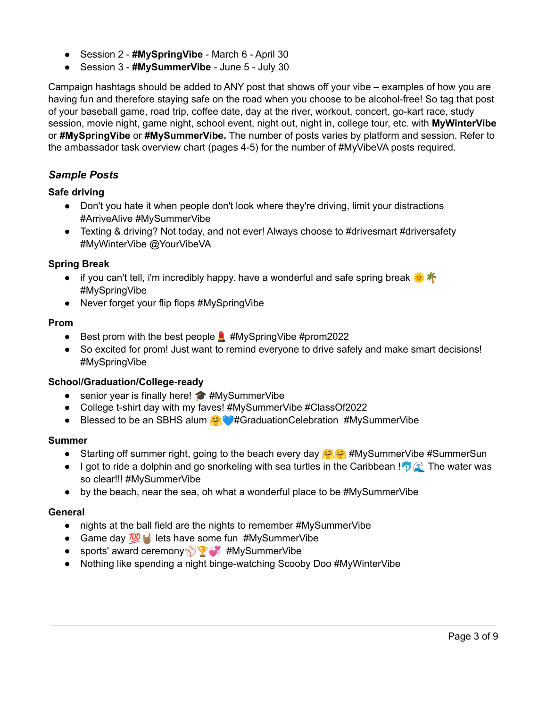- Session 2 **#MySpringVibe** March 6 April 30
- Session 3 **#MySummerVibe** June 5 July 30

Campaign hashtags should be added to ANY post that shows off your vibe – examples of how you are having fun and therefore staying safe on the road when you choose to be alcohol-free! So tag that post of your baseball game, road trip, coffee date, day at the river, workout, concert, go-kart race, study session, movie night, game night, school event, night out, night in, college tour, etc. with **MyWinterVibe** or **#MySpringVibe** or **#MySummerVibe.** The number of posts varies by platform and session. Refer to the ambassador task overview chart (pages 4-5) for the number of #MyVibeVA posts required.

#### *Sample Posts*

#### **Safe driving**

- Don't you hate it when people don't look where they're driving, limit your distractions #ArriveAlive #MySummerVibe
- Texting & driving? Not today, and not ever! Always choose to #drivesmart #driversafety #MyWinterVibe @YourVibeVA

#### **Spring Break**

- if you can't tell, i'm incredibly happy. have a wonderful and safe spring break #MySpringVibe
- Never forget your flip flops #MySpringVibe

#### **Prom**

- **•** Best prom with the best people  $\blacksquare$  #MySpringVibe #prom2022
- So excited for prom! Just want to remind everyone to drive safely and make smart decisions! #MySpringVibe

#### **School/Graduation/College-ready**

- senior year is finally here! ◆ #MySummerVibe
- College t-shirt day with my faves! #MySummerVibe #ClassOf2022
- Blessed to be an SBHS alum  $\odot$  #GraduationCelebration #MySummerVibe

#### **Summer**

- **•** Starting off summer right, going to the beach every day  $\otimes$  #MySummerVibe #SummerSun
- I got to ride a dolphin and go snorkeling with sea turtles in the Caribbean !  $\sqrt[n]{\mathbb{R}}$  The water was so clear!!! #MySummerVibe
- by the beach, near the sea, oh what a wonderful place to be #MySummerVibe

#### **General**

- nights at the ball field are the nights to remember #MySummerVibe
- Game day  $\frac{700}{2}$  lets have some fun #MySummerVibe
- sports' award ceremony <sup>89</sup> #MySummerVibe
- Nothing like spending a night binge-watching Scooby Doo #MyWinterVibe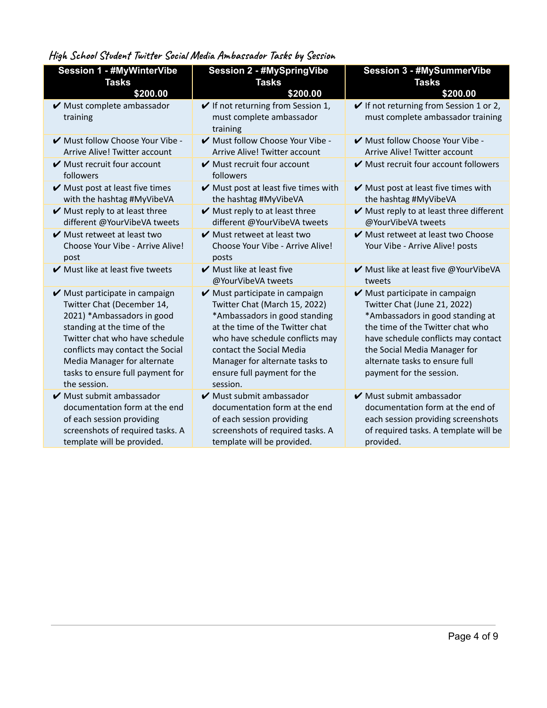### **High School Student Twitter Social Media Ambassador Tasks by Session**

| <b>Session 1 - #MyWinterVibe</b>                                                                                                                                                                                                                                                                       | <b>Session 2 - #MySpringVibe</b>                                                                                                                                                                                                                                                | <b>Session 3 - #MySummerVibe</b>                                                                                                                                                                                                                                            |
|--------------------------------------------------------------------------------------------------------------------------------------------------------------------------------------------------------------------------------------------------------------------------------------------------------|---------------------------------------------------------------------------------------------------------------------------------------------------------------------------------------------------------------------------------------------------------------------------------|-----------------------------------------------------------------------------------------------------------------------------------------------------------------------------------------------------------------------------------------------------------------------------|
| <b>Tasks</b>                                                                                                                                                                                                                                                                                           | <b>Tasks</b>                                                                                                                                                                                                                                                                    | <b>Tasks</b>                                                                                                                                                                                                                                                                |
| \$200.00                                                                                                                                                                                                                                                                                               | \$200.00                                                                                                                                                                                                                                                                        | \$200.00                                                                                                                                                                                                                                                                    |
| $\blacktriangleright$ Must complete ambassador<br>training                                                                                                                                                                                                                                             | $\checkmark$ If not returning from Session 1,<br>must complete ambassador<br>training                                                                                                                                                                                           | $\checkmark$ If not returning from Session 1 or 2,<br>must complete ambassador training                                                                                                                                                                                     |
| Must follow Choose Your Vibe -                                                                                                                                                                                                                                                                         | Must follow Choose Your Vibe -                                                                                                                                                                                                                                                  | Must follow Choose Your Vibe -                                                                                                                                                                                                                                              |
| Arrive Alive! Twitter account                                                                                                                                                                                                                                                                          | Arrive Alive! Twitter account                                                                                                                                                                                                                                                   | Arrive Alive! Twitter account                                                                                                                                                                                                                                               |
| $\blacktriangleright$ Must recruit four account<br>followers                                                                                                                                                                                                                                           | $\blacktriangleright$ Must recruit four account<br>followers                                                                                                                                                                                                                    | Must recruit four account followers                                                                                                                                                                                                                                         |
| $\blacktriangleright$ Must post at least five times                                                                                                                                                                                                                                                    | $\blacktriangleright$ Must post at least five times with                                                                                                                                                                                                                        | $\mathbf{\nabla}$ Must post at least five times with                                                                                                                                                                                                                        |
| with the hashtag #MyVibeVA                                                                                                                                                                                                                                                                             | the hashtag #MyVibeVA                                                                                                                                                                                                                                                           | the hashtag #MyVibeVA                                                                                                                                                                                                                                                       |
| $\mathbf{\nabla}$ Must reply to at least three                                                                                                                                                                                                                                                         | $\mathbf{\nabla}$ Must reply to at least three                                                                                                                                                                                                                                  | ✔ Must reply to at least three different                                                                                                                                                                                                                                    |
| different @YourVibeVA tweets                                                                                                                                                                                                                                                                           | different @YourVibeVA tweets                                                                                                                                                                                                                                                    | @YourVibeVA tweets                                                                                                                                                                                                                                                          |
| $\mathbf{\nabla}$ Must retweet at least two<br>Choose Your Vibe - Arrive Alive!<br>post                                                                                                                                                                                                                | $\vee$ Must retweet at least two<br>Choose Your Vibe - Arrive Alive!<br>posts                                                                                                                                                                                                   | ✔ Must retweet at least two Choose<br>Your Vibe - Arrive Alive! posts                                                                                                                                                                                                       |
| $\mathbf y$ Must like at least five tweets                                                                                                                                                                                                                                                             | $\blacktriangleright$ Must like at least five<br>@YourVibeVA tweets                                                                                                                                                                                                             | ✔ Must like at least five @YourVibeVA<br>tweets                                                                                                                                                                                                                             |
| $\blacktriangleright$ Must participate in campaign<br>Twitter Chat (December 14,<br>2021) *Ambassadors in good<br>standing at the time of the<br>Twitter chat who have schedule<br>conflicts may contact the Social<br>Media Manager for alternate<br>tasks to ensure full payment for<br>the session. | ✔ Must participate in campaign<br>Twitter Chat (March 15, 2022)<br>*Ambassadors in good standing<br>at the time of the Twitter chat<br>who have schedule conflicts may<br>contact the Social Media<br>Manager for alternate tasks to<br>ensure full payment for the<br>session. | ✔ Must participate in campaign<br>Twitter Chat (June 21, 2022)<br>*Ambassadors in good standing at<br>the time of the Twitter chat who<br>have schedule conflicts may contact<br>the Social Media Manager for<br>alternate tasks to ensure full<br>payment for the session. |
| $\blacktriangleright$ Must submit ambassador                                                                                                                                                                                                                                                           | $\blacktriangleright$ Must submit ambassador                                                                                                                                                                                                                                    | $\blacktriangleright$ Must submit ambassador                                                                                                                                                                                                                                |
| documentation form at the end                                                                                                                                                                                                                                                                          | documentation form at the end                                                                                                                                                                                                                                                   | documentation form at the end of                                                                                                                                                                                                                                            |
| of each session providing                                                                                                                                                                                                                                                                              | of each session providing                                                                                                                                                                                                                                                       | each session providing screenshots                                                                                                                                                                                                                                          |
| screenshots of required tasks. A                                                                                                                                                                                                                                                                       | screenshots of required tasks. A                                                                                                                                                                                                                                                | of required tasks. A template will be                                                                                                                                                                                                                                       |
| template will be provided.                                                                                                                                                                                                                                                                             | template will be provided.                                                                                                                                                                                                                                                      | provided.                                                                                                                                                                                                                                                                   |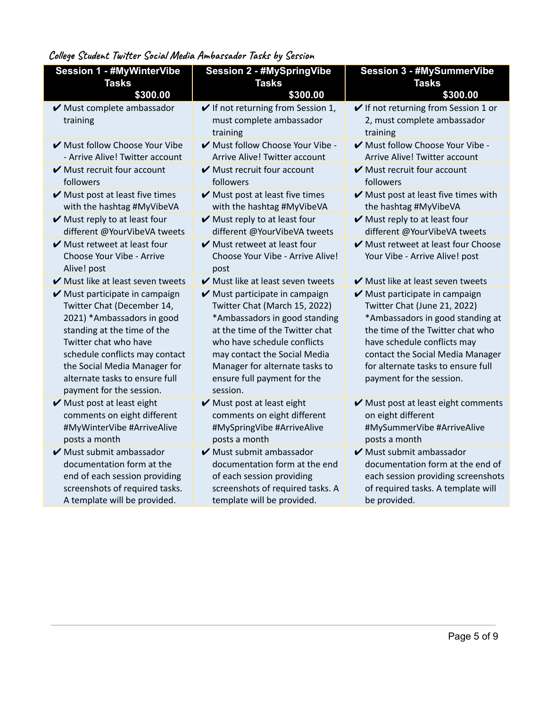**College Student Twitter Social Media Ambassador Tasks by Session**

| <b>Session 1 - #MyWinterVibe</b>                                                  | <b>Session 2 - #MySpringVibe</b>                                                  | <b>Session 3 - #MySummerVibe</b>                                                  |
|-----------------------------------------------------------------------------------|-----------------------------------------------------------------------------------|-----------------------------------------------------------------------------------|
| <b>Tasks</b>                                                                      | <b>Tasks</b>                                                                      | <b>Tasks</b>                                                                      |
| \$300.00                                                                          | \$300.00                                                                          | \$300.00                                                                          |
| ✔ Must complete ambassador                                                        | If not returning from Session 1,                                                  | If not returning from Session 1 or                                                |
| training                                                                          | must complete ambassador                                                          | 2, must complete ambassador                                                       |
|                                                                                   | training                                                                          | training                                                                          |
| ✔ Must follow Choose Your Vibe                                                    | Must follow Choose Your Vibe -                                                    | Must follow Choose Your Vibe -                                                    |
| - Arrive Alive! Twitter account                                                   | Arrive Alive! Twitter account                                                     | Arrive Alive! Twitter account                                                     |
| $\blacktriangleright$ Must recruit four account<br>followers                      | $\blacktriangleright$ Must recruit four account<br>followers                      | $\blacktriangleright$ Must recruit four account<br>followers                      |
|                                                                                   |                                                                                   |                                                                                   |
| $\blacktriangleright$ Must post at least five times<br>with the hashtag #MyVibeVA | $\blacktriangleright$ Must post at least five times<br>with the hashtag #MyVibeVA | $\blacktriangleright$ Must post at least five times with<br>the hashtag #MyVibeVA |
| $\blacktriangleright$ Must reply to at least four                                 | $\vee$ Must reply to at least four                                                | $\blacktriangleright$ Must reply to at least four                                 |
| different @YourVibeVA tweets                                                      | different @YourVibeVA tweets                                                      | different @YourVibeVA tweets                                                      |
| $\blacktriangleright$ Must retweet at least four                                  | $\blacktriangleright$ Must retweet at least four                                  | Must retweet at least four Choose                                                 |
| Choose Your Vibe - Arrive                                                         | Choose Your Vibe - Arrive Alive!                                                  | Your Vibe - Arrive Alive! post                                                    |
| Alive! post                                                                       | post                                                                              |                                                                                   |
| ✔ Must like at least seven tweets                                                 | ✔ Must like at least seven tweets                                                 | $\blacktriangleright$ Must like at least seven tweets                             |
| ✔ Must participate in campaign                                                    | ✔ Must participate in campaign                                                    | ✔ Must participate in campaign                                                    |
| Twitter Chat (December 14,                                                        | Twitter Chat (March 15, 2022)                                                     | Twitter Chat (June 21, 2022)                                                      |
| 2021) *Ambassadors in good<br>standing at the time of the                         | *Ambassadors in good standing<br>at the time of the Twitter chat                  | *Ambassadors in good standing at<br>the time of the Twitter chat who              |
| Twitter chat who have                                                             | who have schedule conflicts                                                       | have schedule conflicts may                                                       |
| schedule conflicts may contact                                                    | may contact the Social Media                                                      | contact the Social Media Manager                                                  |
| the Social Media Manager for                                                      | Manager for alternate tasks to                                                    | for alternate tasks to ensure full                                                |
| alternate tasks to ensure full                                                    | ensure full payment for the                                                       | payment for the session.                                                          |
| payment for the session.                                                          | session.                                                                          |                                                                                   |
| $\blacktriangleright$ Must post at least eight                                    | $\mathbf{\nabla}$ Must post at least eight                                        | ✔ Must post at least eight comments                                               |
| comments on eight different                                                       | comments on eight different                                                       | on eight different                                                                |
| #MyWinterVibe #ArriveAlive                                                        | #MySpringVibe #ArriveAlive                                                        | #MySummerVibe #ArriveAlive                                                        |
| posts a month                                                                     | posts a month                                                                     | posts a month                                                                     |
| $\blacktriangleright$ Must submit ambassador                                      | $\blacktriangleright$ Must submit ambassador                                      | $\blacktriangleright$ Must submit ambassador                                      |
| documentation form at the                                                         | documentation form at the end                                                     | documentation form at the end of                                                  |
| end of each session providing                                                     | of each session providing                                                         | each session providing screenshots                                                |
| screenshots of required tasks.                                                    | screenshots of required tasks. A                                                  | of required tasks. A template will                                                |
| A template will be provided.                                                      | template will be provided.                                                        | be provided.                                                                      |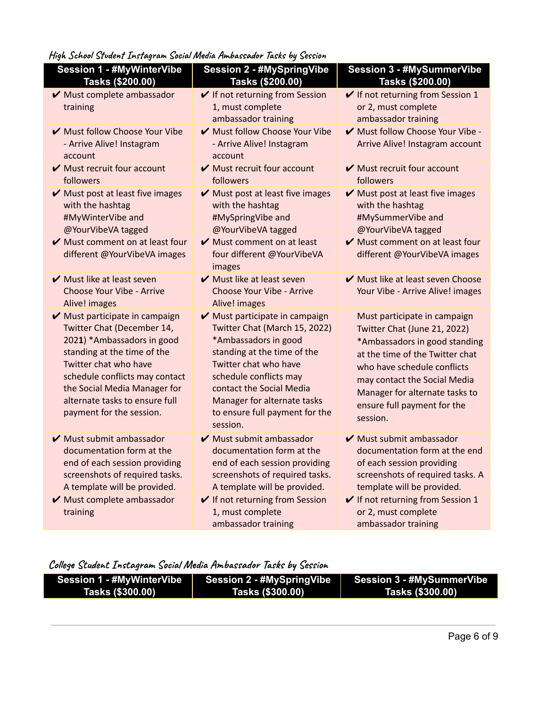**High School Student Instagram Social Media Ambassador Tasks by Session**

| <b>Session 1 - #MyWinterVibe</b><br>Tasks (\$200.00)                                                                                                                                                                                                                               | <b>Session 2 - #MySpringVibe</b><br>Tasks (\$200.00)                                                                                                                                                                                                                               | <b>Session 3 - #MySummerVibe</b><br>Tasks (\$200.00)                                                                                                                                                                                                                         |
|------------------------------------------------------------------------------------------------------------------------------------------------------------------------------------------------------------------------------------------------------------------------------------|------------------------------------------------------------------------------------------------------------------------------------------------------------------------------------------------------------------------------------------------------------------------------------|------------------------------------------------------------------------------------------------------------------------------------------------------------------------------------------------------------------------------------------------------------------------------|
| ✔ Must complete ambassador<br>training                                                                                                                                                                                                                                             | ✔ If not returning from Session<br>1, must complete<br>ambassador training                                                                                                                                                                                                         | $\checkmark$ If not returning from Session 1<br>or 2, must complete<br>ambassador training                                                                                                                                                                                   |
| Must follow Choose Your Vibe<br>- Arrive Alive! Instagram<br>account                                                                                                                                                                                                               | Must follow Choose Your Vibe<br>- Arrive Alive! Instagram<br>account                                                                                                                                                                                                               | Must follow Choose Your Vibe -<br>Arrive Alive! Instagram account                                                                                                                                                                                                            |
| $\blacktriangleright$ Must recruit four account<br>followers                                                                                                                                                                                                                       | $\blacktriangleright$ Must recruit four account<br>followers                                                                                                                                                                                                                       | $\blacktriangleright$ Must recruit four account<br>followers                                                                                                                                                                                                                 |
| Must post at least five images<br>with the hashtag<br>#MyWinterVibe and<br>@YourVibeVA tagged                                                                                                                                                                                      | Must post at least five images<br>with the hashtag<br>#MySpringVibe and<br>@YourVibeVA tagged                                                                                                                                                                                      | ✔ Must post at least five images<br>with the hashtag<br>#MySummerVibe and<br>@YourVibeVA tagged                                                                                                                                                                              |
| $\blacktriangleright$ Must comment on at least four<br>different @YourVibeVA images                                                                                                                                                                                                | $\mathbf y$ Must comment on at least<br>four different @YourVibeVA<br>images                                                                                                                                                                                                       | Must comment on at least four<br>different @YourVibeVA images                                                                                                                                                                                                                |
| $\vee$ Must like at least seven<br>Choose Your Vibe - Arrive<br>Alive! images                                                                                                                                                                                                      | $\vee$ Must like at least seven<br>Choose Your Vibe - Arrive<br>Alive! images                                                                                                                                                                                                      | Must like at least seven Choose<br>Your Vibe - Arrive Alive! images                                                                                                                                                                                                          |
| ✔ Must participate in campaign<br>Twitter Chat (December 14,<br>2021) *Ambassadors in good<br>standing at the time of the<br>Twitter chat who have<br>schedule conflicts may contact<br>the Social Media Manager for<br>alternate tasks to ensure full<br>payment for the session. | ✔ Must participate in campaign<br>Twitter Chat (March 15, 2022)<br>*Ambassadors in good<br>standing at the time of the<br>Twitter chat who have<br>schedule conflicts may<br>contact the Social Media<br>Manager for alternate tasks<br>to ensure full payment for the<br>session. | Must participate in campaign<br>Twitter Chat (June 21, 2022)<br>*Ambassadors in good standing<br>at the time of the Twitter chat<br>who have schedule conflicts<br>may contact the Social Media<br>Manager for alternate tasks to<br>ensure full payment for the<br>session. |
| ✔ Must submit ambassador<br>documentation form at the<br>end of each session providing<br>screenshots of required tasks.<br>A template will be provided.                                                                                                                           | ✔ Must submit ambassador<br>documentation form at the<br>end of each session providing<br>screenshots of required tasks.<br>A template will be provided.                                                                                                                           | $\blacktriangleright$ Must submit ambassador<br>documentation form at the end<br>of each session providing<br>screenshots of required tasks. A<br>template will be provided.                                                                                                 |
| ✔ Must complete ambassador<br>training                                                                                                                                                                                                                                             | If not returning from Session<br>1, must complete<br>ambassador training                                                                                                                                                                                                           | If not returning from Session 1<br>or 2, must complete<br>ambassador training                                                                                                                                                                                                |

**College Student Instagram Social Media Ambassador Tasks by Session**

| <b>Session 1 - #MyWinterVibe</b> | <b>Session 2 - #MySpringVibe</b> | <b>Session 3 - #MySummerVibe</b> |
|----------------------------------|----------------------------------|----------------------------------|
| Tasks (\$300.00)                 | Tasks (\$300.00)                 | Tasks (\$300.00)                 |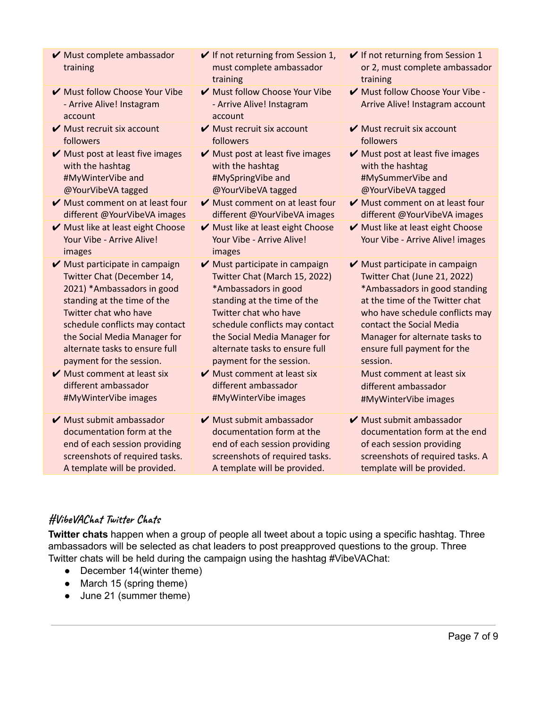| $\blacktriangleright$ Must complete ambassador<br>training               | $\checkmark$ If not returning from Session 1,<br>must complete ambassador<br>training | $\checkmark$ If not returning from Session 1<br>or 2, must complete ambassador<br>training |
|--------------------------------------------------------------------------|---------------------------------------------------------------------------------------|--------------------------------------------------------------------------------------------|
| Must follow Choose Your Vibe<br>- Arrive Alive! Instagram<br>account     | ✔ Must follow Choose Your Vibe<br>- Arrive Alive! Instagram<br>account                | Must follow Choose Your Vibe -<br>Arrive Alive! Instagram account                          |
| $\vee$ Must recruit six account                                          | $\vee$ Must recruit six account                                                       | $\vee$ Must recruit six account                                                            |
| followers                                                                | followers                                                                             | followers                                                                                  |
| Must post at least five images                                           | Must post at least five images                                                        | Must post at least five images                                                             |
| with the hashtag                                                         | with the hashtag                                                                      | with the hashtag                                                                           |
| #MyWinterVibe and                                                        | #MySpringVibe and                                                                     | #MySummerVibe and                                                                          |
| @YourVibeVA tagged                                                       | @YourVibeVA tagged                                                                    | @YourVibeVA tagged                                                                         |
| Must comment on at least four                                            | $\blacktriangleright$ Must comment on at least four                                   | $\blacktriangleright$ Must comment on at least four                                        |
| different @YourVibeVA images                                             | different @YourVibeVA images                                                          | different @YourVibeVA images                                                               |
| ✔ Must like at least eight Choose<br>Your Vibe - Arrive Alive!<br>images | ✔ Must like at least eight Choose<br>Your Vibe - Arrive Alive!<br>images              | ✔ Must like at least eight Choose<br>Your Vibe - Arrive Alive! images                      |
| ✔ Must participate in campaign                                           | $\vee$ Must participate in campaign                                                   | ✔ Must participate in campaign                                                             |
| Twitter Chat (December 14,                                               | Twitter Chat (March 15, 2022)                                                         | Twitter Chat (June 21, 2022)                                                               |
| 2021) *Ambassadors in good                                               | *Ambassadors in good                                                                  | *Ambassadors in good standing                                                              |
| standing at the time of the                                              | standing at the time of the                                                           | at the time of the Twitter chat                                                            |
| Twitter chat who have                                                    | Twitter chat who have                                                                 | who have schedule conflicts may                                                            |
| schedule conflicts may contact                                           | schedule conflicts may contact                                                        | contact the Social Media                                                                   |
| the Social Media Manager for                                             | the Social Media Manager for                                                          | Manager for alternate tasks to                                                             |
| alternate tasks to ensure full                                           | alternate tasks to ensure full                                                        | ensure full payment for the                                                                |
| payment for the session.                                                 | payment for the session.                                                              | session.                                                                                   |
| $\blacktriangleright$ Must comment at least six                          | $\blacktriangleright$ Must comment at least six                                       | Must comment at least six                                                                  |
| different ambassador                                                     | different ambassador                                                                  | different ambassador                                                                       |
| #MyWinterVibe images                                                     | #MyWinterVibe images                                                                  | #MyWinterVibe images                                                                       |
| $\blacktriangleright$ Must submit ambassador                             | $\blacktriangleright$ Must submit ambassador                                          | $\blacktriangleright$ Must submit ambassador                                               |
| documentation form at the                                                | documentation form at the                                                             | documentation form at the end                                                              |
| end of each session providing                                            | end of each session providing                                                         | of each session providing                                                                  |
| screenshots of required tasks.                                           | screenshots of required tasks.                                                        | screenshots of required tasks. A                                                           |
| A template will be provided.                                             | A template will be provided.                                                          | template will be provided.                                                                 |
|                                                                          |                                                                                       |                                                                                            |

### **#VibeVAChat Twitter Chats**

**Twitter chats** happen when a group of people all tweet about a topic using a specific hashtag. Three ambassadors will be selected as chat leaders to post preapproved questions to the group. Three Twitter chats will be held during the campaign using the hashtag #VibeVAChat:

- December 14(winter theme)
- March 15 (spring theme)
- June 21 (summer theme)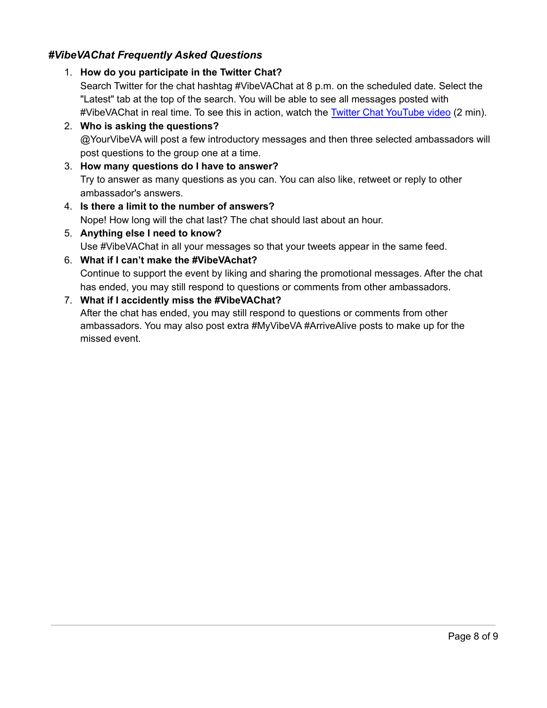### *#VibeVAChat Frequently Asked Questions*

#### 1. **How do you participate in the Twitter Chat?**

Search Twitter for the chat hashtag #VibeVAChat at 8 p.m. on the scheduled date. Select the "Latest" tab at the top of the search. You will be able to see all messages posted with #VibeVAChat in real time. To see this in action, watch the Twitter Chat [YouTube](http://twitter.us14.list-manage1.com/track/click?u=6824ea4a5f7ee01c36e19c30d&id=3b193ff2c3&e=0235454f66) video (2 min).

- 2. **Who is asking the questions?** @YourVibeVA will post a few introductory messages and then three selected ambassadors will post questions to the group one at a time.
- 3. **How many questions do I have to answer?** Try to answer as many questions as you can. You can also like, retweet or reply to other ambassador's answers.
- 4. **Is there a limit to the number of answers?** Nope! How long will the chat last? The chat should last about an hour.
- 5. **Anything else I need to know?** Use #VibeVAChat in all your messages so that your tweets appear in the same feed.

#### 6. **What if I can't make the #VibeVAchat?**

Continue to support the event by liking and sharing the promotional messages. After the chat has ended, you may still respond to questions or comments from other ambassadors.

#### 7. **What if I accidently miss the #VibeVAChat?**

After the chat has ended, you may still respond to questions or comments from other ambassadors. You may also post extra #MyVibeVA #ArriveAlive posts to make up for the missed event.